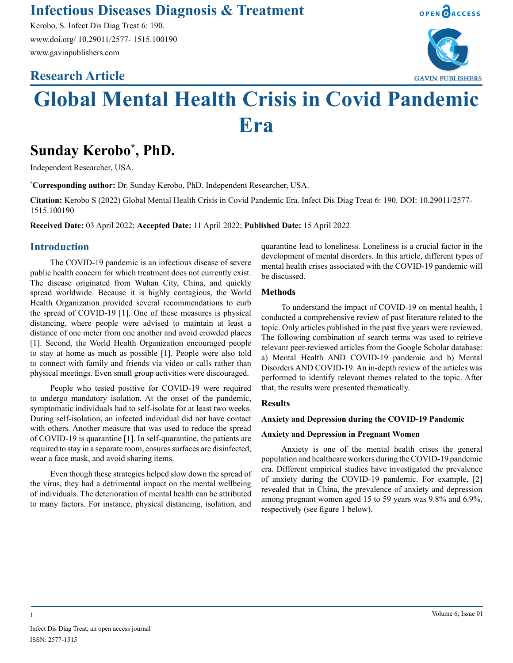# **Infectious Diseases Diagnosis & Treatment**

Kerobo, S. Infect Dis Diag Treat 6: 190. www.doi.org/ 10.29011/2577- 1515.100190 www.gavinpublishers.com

# **Research Article**





# **Global Mental Health Crisis in Covid Pandemic Era**

# **Sunday Kerobo\* , PhD.**

Independent Researcher, USA.

**\* Corresponding author:** Dr. Sunday Kerobo, PhD. Independent Researcher, USA.

**Citation:** Kerobo S (2022) Global Mental Health Crisis in Covid Pandemic Era. Infect Dis Diag Treat 6: 190. DOI: 10.29011/2577- 1515.100190

**Received Date:** 03 April 2022; **Accepted Date:** 11 April 2022; **Published Date:** 15 April 2022

### **Introduction**

The COVID-19 pandemic is an infectious disease of severe public health concern for which treatment does not currently exist. The disease originated from Wuhan City, China, and quickly spread worldwide. Because it is highly contagious, the World Health Organization provided several recommendations to curb the spread of COVID-19 [1]. One of these measures is physical distancing, where people were advised to maintain at least a distance of one meter from one another and avoid crowded places [1]. Second, the World Health Organization encouraged people to stay at home as much as possible [1]. People were also told to connect with family and friends via video or calls rather than physical meetings. Even small group activities were discouraged.

People who tested positive for COVID-19 were required to undergo mandatory isolation. At the onset of the pandemic, symptomatic individuals had to self-isolate for at least two weeks. During self-isolation, an infected individual did not have contact with others. Another measure that was used to reduce the spread of COVID-19 is quarantine [1]. In self-quarantine, the patients are required to stay in a separate room, ensures surfaces are disinfected, wear a face mask, and avoid sharing items.

Even though these strategies helped slow down the spread of the virus, they had a detrimental impact on the mental wellbeing of individuals. The deterioration of mental health can be attributed to many factors. For instance, physical distancing, isolation, and quarantine lead to loneliness. Loneliness is a crucial factor in the development of mental disorders. In this article, different types of mental health crises associated with the COVID-19 pandemic will be discussed.

#### **Methods**

To understand the impact of COVID-19 on mental health, I conducted a comprehensive review of past literature related to the topic. Only articles published in the past five years were reviewed. The following combination of search terms was used to retrieve relevant peer-reviewed articles from the Google Scholar database: a) Mental Health AND COVID-19 pandemic and b) Mental Disorders AND COVID-19. An in-depth review of the articles was performed to identify relevant themes related to the topic. After that, the results were presented thematically.

#### **Results**

#### **Anxiety and Depression during the COVID-19 Pandemic**

#### **Anxiety and Depression in Pregnant Women**

Anxiety is one of the mental health crises the general population and healthcare workers during the COVID-19 pandemic era. Different empirical studies have investigated the prevalence of anxiety during the COVID-19 pandemic. For example, [2] revealed that in China, the prevalence of anxiety and depression among pregnant women aged 15 to 59 years was 9.8% and 6.9%, respectively (see figure 1 below).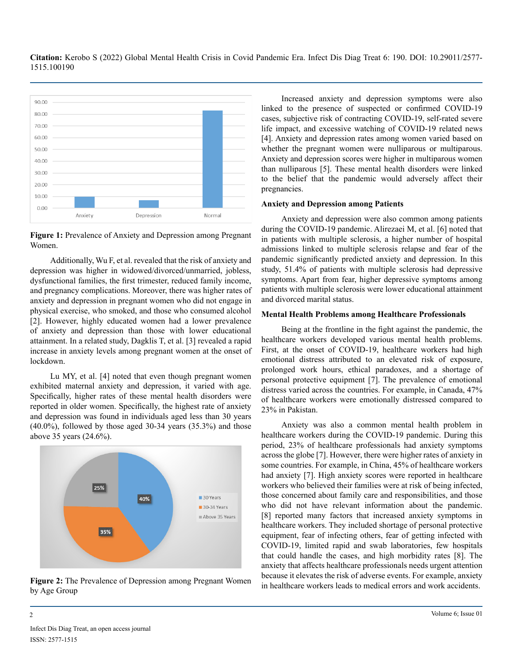**Citation:** Kerobo S (2022) Global Mental Health Crisis in Covid Pandemic Era. Infect Dis Diag Treat 6: 190. DOI: 10.29011/2577- 1515.100190



**Figure 1:** Prevalence of Anxiety and Depression among Pregnant Women.

Additionally, Wu F, et al. revealed that the risk of anxiety and depression was higher in widowed/divorced/unmarried, jobless, dysfunctional families, the first trimester, reduced family income, and pregnancy complications. Moreover, there was higher rates of anxiety and depression in pregnant women who did not engage in physical exercise, who smoked, and those who consumed alcohol [2]. However, highly educated women had a lower prevalence of anxiety and depression than those with lower educational attainment. In a related study, Dagklis T, et al. [3] revealed a rapid increase in anxiety levels among pregnant women at the onset of lockdown.

Lu MY, et al. [4] noted that even though pregnant women exhibited maternal anxiety and depression, it varied with age. Specifically, higher rates of these mental health disorders were reported in older women. Specifically, the highest rate of anxiety and depression was found in individuals aged less than 30 years  $(40.0\%)$ , followed by those aged 30-34 years  $(35.3\%)$  and those above 35 years (24.6%).



**Figure 2:** The Prevalence of Depression among Pregnant Women by Age Group

Increased anxiety and depression symptoms were also linked to the presence of suspected or confirmed COVID-19 cases, subjective risk of contracting COVID-19, self-rated severe life impact, and excessive watching of COVID-19 related news [4]. Anxiety and depression rates among women varied based on whether the pregnant women were nulliparous or multiparous. Anxiety and depression scores were higher in multiparous women than nulliparous [5]. These mental health disorders were linked to the belief that the pandemic would adversely affect their pregnancies.

#### **Anxiety and Depression among Patients**

Anxiety and depression were also common among patients during the COVID-19 pandemic. Alirezaei M, et al. [6] noted that in patients with multiple sclerosis, a higher number of hospital admissions linked to multiple sclerosis relapse and fear of the pandemic significantly predicted anxiety and depression. In this study, 51.4% of patients with multiple sclerosis had depressive symptoms. Apart from fear, higher depressive symptoms among patients with multiple sclerosis were lower educational attainment and divorced marital status.

#### **Mental Health Problems among Healthcare Professionals**

Being at the frontline in the fight against the pandemic, the healthcare workers developed various mental health problems. First, at the onset of COVID-19, healthcare workers had high emotional distress attributed to an elevated risk of exposure, prolonged work hours, ethical paradoxes, and a shortage of personal protective equipment [7]. The prevalence of emotional distress varied across the countries. For example, in Canada, 47% of healthcare workers were emotionally distressed compared to 23% in Pakistan.

Anxiety was also a common mental health problem in healthcare workers during the COVID-19 pandemic. During this period, 23% of healthcare professionals had anxiety symptoms across the globe [7]. However, there were higher rates of anxiety in some countries. For example, in China, 45% of healthcare workers had anxiety [7]. High anxiety scores were reported in healthcare workers who believed their families were at risk of being infected, those concerned about family care and responsibilities, and those who did not have relevant information about the pandemic. [8] reported many factors that increased anxiety symptoms in healthcare workers. They included shortage of personal protective equipment, fear of infecting others, fear of getting infected with COVID-19, limited rapid and swab laboratories, few hospitals that could handle the cases, and high morbidity rates [8]. The anxiety that affects healthcare professionals needs urgent attention because it elevates the risk of adverse events. For example, anxiety in healthcare workers leads to medical errors and work accidents.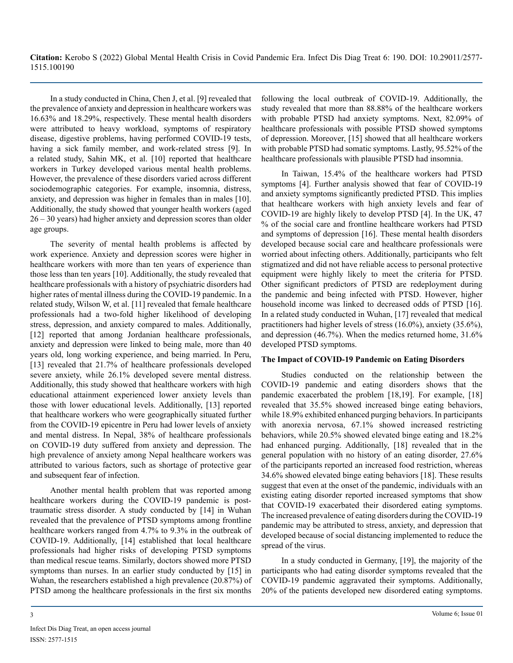In a study conducted in China, Chen J, et al. [9] revealed that the prevalence of anxiety and depression in healthcare workers was 16.63% and 18.29%, respectively. These mental health disorders were attributed to heavy workload, symptoms of respiratory disease, digestive problems, having performed COVID-19 tests, having a sick family member, and work-related stress [9]. In a related study, Sahin MK, et al. [10] reported that healthcare workers in Turkey developed various mental health problems. However, the prevalence of these disorders varied across different sociodemographic categories. For example, insomnia, distress, anxiety, and depression was higher in females than in males [10]. Additionally, the study showed that younger health workers (aged 26 – 30 years) had higher anxiety and depression scores than older age groups.

The severity of mental health problems is affected by work experience. Anxiety and depression scores were higher in healthcare workers with more than ten years of experience than those less than ten years [10]. Additionally, the study revealed that healthcare professionals with a history of psychiatric disorders had higher rates of mental illness during the COVID-19 pandemic. In a related study, Wilson W, et al. [11] revealed that female healthcare professionals had a two-fold higher likelihood of developing stress, depression, and anxiety compared to males. Additionally, [12] reported that among Jordanian healthcare professionals, anxiety and depression were linked to being male, more than 40 years old, long working experience, and being married. In Peru, [13] revealed that 21.7% of healthcare professionals developed severe anxiety, while 26.1% developed severe mental distress. Additionally, this study showed that healthcare workers with high educational attainment experienced lower anxiety levels than those with lower educational levels. Additionally, [13] reported that healthcare workers who were geographically situated further from the COVID-19 epicentre in Peru had lower levels of anxiety and mental distress. In Nepal, 38% of healthcare professionals on COVID-19 duty suffered from anxiety and depression. The high prevalence of anxiety among Nepal healthcare workers was attributed to various factors, such as shortage of protective gear and subsequent fear of infection.

Another mental health problem that was reported among healthcare workers during the COVID-19 pandemic is posttraumatic stress disorder. A study conducted by [14] in Wuhan revealed that the prevalence of PTSD symptoms among frontline healthcare workers ranged from 4.7% to 9.3% in the outbreak of COVID-19. Additionally, [14] established that local healthcare professionals had higher risks of developing PTSD symptoms than medical rescue teams. Similarly, doctors showed more PTSD symptoms than nurses. In an earlier study conducted by [15] in Wuhan, the researchers established a high prevalence (20.87%) of PTSD among the healthcare professionals in the first six months

following the local outbreak of COVID-19. Additionally, the study revealed that more than 88.88% of the healthcare workers with probable PTSD had anxiety symptoms. Next, 82.09% of healthcare professionals with possible PTSD showed symptoms of depression. Moreover, [15] showed that all healthcare workers with probable PTSD had somatic symptoms. Lastly, 95.52% of the healthcare professionals with plausible PTSD had insomnia.

In Taiwan, 15.4% of the healthcare workers had PTSD symptoms [4]. Further analysis showed that fear of COVID-19 and anxiety symptoms significantly predicted PTSD. This implies that healthcare workers with high anxiety levels and fear of COVID-19 are highly likely to develop PTSD [4]. In the UK, 47 % of the social care and frontline healthcare workers had PTSD and symptoms of depression [16]. These mental health disorders developed because social care and healthcare professionals were worried about infecting others. Additionally, participants who felt stigmatized and did not have reliable access to personal protective equipment were highly likely to meet the criteria for PTSD. Other significant predictors of PTSD are redeployment during the pandemic and being infected with PTSD. However, higher household income was linked to decreased odds of PTSD [16]. In a related study conducted in Wuhan, [17] revealed that medical practitioners had higher levels of stress (16.0%), anxiety (35.6%), and depression (46.7%). When the medics returned home, 31.6% developed PTSD symptoms.

#### **The Impact of COVID-19 Pandemic on Eating Disorders**

Studies conducted on the relationship between the COVID-19 pandemic and eating disorders shows that the pandemic exacerbated the problem [18,19]. For example, [18] revealed that 35.5% showed increased binge eating behaviors, while 18.9% exhibited enhanced purging behaviors. In participants with anorexia nervosa, 67.1% showed increased restricting behaviors, while 20.5% showed elevated binge eating and 18.2% had enhanced purging. Additionally, [18] revealed that in the general population with no history of an eating disorder, 27.6% of the participants reported an increased food restriction, whereas 34.6% showed elevated binge eating behaviors [18]. These results suggest that even at the onset of the pandemic, individuals with an existing eating disorder reported increased symptoms that show that COVID-19 exacerbated their disordered eating symptoms. The increased prevalence of eating disorders during the COVID-19 pandemic may be attributed to stress, anxiety, and depression that developed because of social distancing implemented to reduce the spread of the virus.

In a study conducted in Germany, [19], the majority of the participants who had eating disorder symptoms revealed that the COVID-19 pandemic aggravated their symptoms. Additionally, 20% of the patients developed new disordered eating symptoms.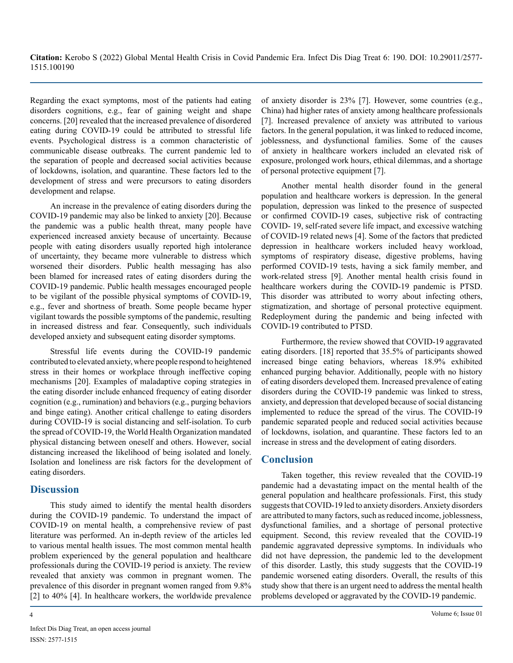Regarding the exact symptoms, most of the patients had eating disorders cognitions, e.g., fear of gaining weight and shape concerns. [20] revealed that the increased prevalence of disordered eating during COVID-19 could be attributed to stressful life events. Psychological distress is a common characteristic of communicable disease outbreaks. The current pandemic led to the separation of people and decreased social activities because of lockdowns, isolation, and quarantine. These factors led to the development of stress and were precursors to eating disorders development and relapse.

An increase in the prevalence of eating disorders during the COVID-19 pandemic may also be linked to anxiety [20]. Because the pandemic was a public health threat, many people have experienced increased anxiety because of uncertainty. Because people with eating disorders usually reported high intolerance of uncertainty, they became more vulnerable to distress which worsened their disorders. Public health messaging has also been blamed for increased rates of eating disorders during the COVID-19 pandemic. Public health messages encouraged people to be vigilant of the possible physical symptoms of COVID-19, e.g., fever and shortness of breath. Some people became hyper vigilant towards the possible symptoms of the pandemic, resulting in increased distress and fear. Consequently, such individuals developed anxiety and subsequent eating disorder symptoms.

Stressful life events during the COVID-19 pandemic contributed to elevated anxiety, where people respond to heightened stress in their homes or workplace through ineffective coping mechanisms [20]. Examples of maladaptive coping strategies in the eating disorder include enhanced frequency of eating disorder cognition (e.g., rumination) and behaviors (e.g., purging behaviors and binge eating). Another critical challenge to eating disorders during COVID-19 is social distancing and self-isolation. To curb the spread of COVID-19, the World Health Organization mandated physical distancing between oneself and others. However, social distancing increased the likelihood of being isolated and lonely. Isolation and loneliness are risk factors for the development of eating disorders.

## **Discussion**

This study aimed to identify the mental health disorders during the COVID-19 pandemic. To understand the impact of COVID-19 on mental health, a comprehensive review of past literature was performed. An in-depth review of the articles led to various mental health issues. The most common mental health problem experienced by the general population and healthcare professionals during the COVID-19 period is anxiety. The review revealed that anxiety was common in pregnant women. The prevalence of this disorder in pregnant women ranged from 9.8% [2] to 40% [4]. In healthcare workers, the worldwide prevalence

of anxiety disorder is 23% [7]. However, some countries (e.g., China) had higher rates of anxiety among healthcare professionals [7]. Increased prevalence of anxiety was attributed to various factors. In the general population, it was linked to reduced income, joblessness, and dysfunctional families. Some of the causes of anxiety in healthcare workers included an elevated risk of exposure, prolonged work hours, ethical dilemmas, and a shortage of personal protective equipment [7].

Another mental health disorder found in the general population and healthcare workers is depression. In the general population, depression was linked to the presence of suspected or confirmed COVID-19 cases, subjective risk of contracting COVID- 19, self-rated severe life impact, and excessive watching of COVID-19 related news [4]. Some of the factors that predicted depression in healthcare workers included heavy workload, symptoms of respiratory disease, digestive problems, having performed COVID-19 tests, having a sick family member, and work-related stress [9]. Another mental health crisis found in healthcare workers during the COVID-19 pandemic is PTSD. This disorder was attributed to worry about infecting others, stigmatization, and shortage of personal protective equipment. Redeployment during the pandemic and being infected with COVID-19 contributed to PTSD.

Furthermore, the review showed that COVID-19 aggravated eating disorders. [18] reported that 35.5% of participants showed increased binge eating behaviors, whereas 18.9% exhibited enhanced purging behavior. Additionally, people with no history of eating disorders developed them. Increased prevalence of eating disorders during the COVID-19 pandemic was linked to stress, anxiety, and depression that developed because of social distancing implemented to reduce the spread of the virus. The COVID-19 pandemic separated people and reduced social activities because of lockdowns, isolation, and quarantine. These factors led to an increase in stress and the development of eating disorders.

# **Conclusion**

Taken together, this review revealed that the COVID-19 pandemic had a devastating impact on the mental health of the general population and healthcare professionals. First, this study suggests that COVID-19 led to anxiety disorders. Anxiety disorders are attributed to many factors, such as reduced income, joblessness, dysfunctional families, and a shortage of personal protective equipment. Second, this review revealed that the COVID-19 pandemic aggravated depressive symptoms. In individuals who did not have depression, the pandemic led to the development of this disorder. Lastly, this study suggests that the COVID-19 pandemic worsened eating disorders. Overall, the results of this study show that there is an urgent need to address the mental health problems developed or aggravated by the COVID-19 pandemic.